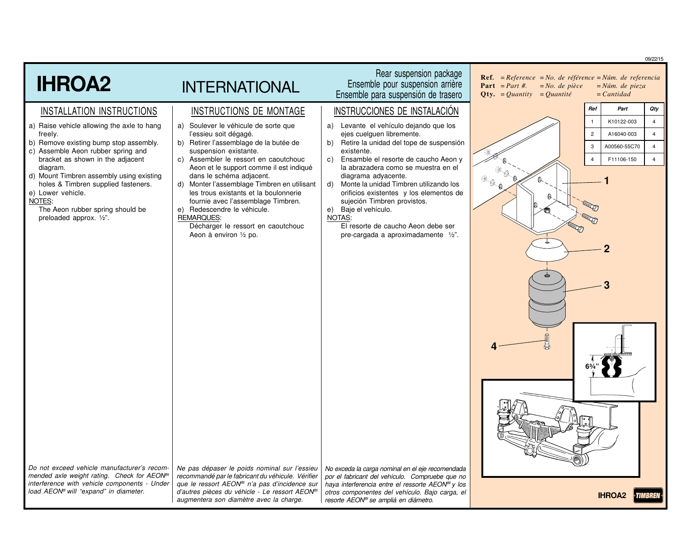|                                                                                                                                                                                                                                                                                                                                                                                                     |                                                                                                                                                                                                                                                                                                                                                                                                                                                                                                                                     |                                                                                                                                                                                                                                                                                                                                                                                                                                                                                                                                  | 09/22/15                                                                                                                                                                                                                                   |
|-----------------------------------------------------------------------------------------------------------------------------------------------------------------------------------------------------------------------------------------------------------------------------------------------------------------------------------------------------------------------------------------------------|-------------------------------------------------------------------------------------------------------------------------------------------------------------------------------------------------------------------------------------------------------------------------------------------------------------------------------------------------------------------------------------------------------------------------------------------------------------------------------------------------------------------------------------|----------------------------------------------------------------------------------------------------------------------------------------------------------------------------------------------------------------------------------------------------------------------------------------------------------------------------------------------------------------------------------------------------------------------------------------------------------------------------------------------------------------------------------|--------------------------------------------------------------------------------------------------------------------------------------------------------------------------------------------------------------------------------------------|
| <b>IHROA2</b>                                                                                                                                                                                                                                                                                                                                                                                       | <b>INTERNATIONAL</b>                                                                                                                                                                                                                                                                                                                                                                                                                                                                                                                | Rear suspension package<br>Ensemble pour suspension arrière<br>Ensemble para suspensión de trasero                                                                                                                                                                                                                                                                                                                                                                                                                               | <b>Ref.</b> = $Reference = No.$ de référence = $Núm.$ de referencia<br><b>Part</b> $= Part \#$ .<br>$= No.$ de pièce<br>$=N$ úm. de pieza<br>$= Cantidad$<br>$Qty. = Quantity = Quantité$                                                  |
| INSTALLATION INSTRUCTIONS<br>a) Raise vehicle allowing the axle to hang<br>freely.<br>b) Remove existing bump stop assembly.<br>c) Assemble Aeon rubber spring and<br>bracket as shown in the adjacent<br>diagram.<br>d) Mount Timbren assembly using existing<br>holes & Timbren supplied fasteners.<br>e) Lower vehicle.<br>NOTES:<br>The Aeon rubber spring should be<br>preloaded approx. 1/2". | INSTRUCTIONS DE MONTAGE<br>a) Soulever le véhicule de sorte que<br>l'essieu soit dégagé.<br>b) Retirer l'assemblage de la butée de<br>suspension existante.<br>c) Assembler le ressort en caoutchouc<br>Aeon et le support comme il est indiqué<br>dans le schéma adjacent.<br>d)<br>Monter l'assemblage Timbren en utilisant<br>les trous existants et la boulonnerie<br>fournie avec l'assemblage Timbren.<br>Redescendre le véhicule.<br>e)<br><b>REMARQUES:</b><br>Décharger le ressort en caoutchouc<br>Aeon à environ 1/2 po. | INSTRUCCIONES DE INSTALACIÓN<br>a) Levante el vehículo dejando que los<br>ejes cuelguen libremente.<br>Retire la unidad del tope de suspensión<br>b)<br>existente.<br>Ensamble el resorte de caucho Aeon y<br>$\mathsf{C}$ )<br>la abrazadera como se muestra en el<br>diagrama adyacente.<br>d) Monte la unidad Timbren utilizando los<br>orificios existentes y los elementos de<br>sujeción Timbren provistos.<br>e) Baje el vehículo.<br>NOTAS:<br>El resorte de caucho Aeon debe ser<br>pre-cargada a aproximadamente 1/2". | Ref<br>Part<br><b>Qty</b><br>K10122-003<br>$\overline{4}$<br>$\overline{1}$<br>$\overline{c}$<br>A16040-003<br>$\overline{4}$<br>3<br>A00560-55C70<br>$\overline{4}$<br>F11106-150<br>$\overline{4}$<br>$\overline{4}$<br>a a<br>** 1<br>Q |
| Do not exceed vehicle manufacturer's recom-<br>mended axle weight rating. Check for AEON®<br>interference with vehicle components - Under<br>load AEON® will "expand" in diameter.                                                                                                                                                                                                                  | Ne pas dépaser le poids nominal sur l'essieu<br>recommandé par le fabricant du véhicule. Vérifier<br>que le ressort AEON <sup>®</sup> n'a pas d'incidence sur<br>d'autres pièces du véhicle - Le ressort AEON®<br>augmentera son diamètre avec la charge.                                                                                                                                                                                                                                                                           | No exceda la carga nominal en el eje recomendada<br>por el fabricant del vehículo. Compruebe que no<br>haya interferencia entre el ressorte AEON <sup>®</sup> y los<br>otros componentes del vehículo. Bajo carga, el<br>resorte AEON <sup>®</sup> se ampliá en diámetro.                                                                                                                                                                                                                                                        | <b>IHROA2</b><br>>TIMBREN                                                                                                                                                                                                                  |